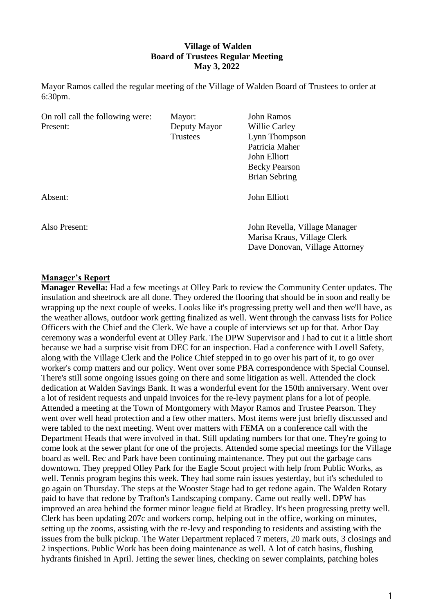## **Village of Walden Board of Trustees Regular Meeting May 3, 2022**

Mayor Ramos called the regular meeting of the Village of Walden Board of Trustees to order at 6:30pm.

| On roll call the following were: | Mayor:       | <b>John Ramos</b>                                             |
|----------------------------------|--------------|---------------------------------------------------------------|
| Present:                         | Deputy Mayor | Willie Carley                                                 |
|                                  | Trustees     | Lynn Thompson                                                 |
|                                  |              | Patricia Maher                                                |
|                                  |              | John Elliott                                                  |
|                                  |              | <b>Becky Pearson</b>                                          |
|                                  |              | <b>Brian Sebring</b>                                          |
| Absent:                          |              | John Elliott                                                  |
| Also Present:                    |              | John Revella, Village Manager                                 |
|                                  |              | Marisa Kraus, Village Clerk<br>Dave Donovan, Village Attorney |

#### **Manager's Report**

**Manager Revella:** Had a few meetings at Olley Park to review the Community Center updates. The insulation and sheetrock are all done. They ordered the flooring that should be in soon and really be wrapping up the next couple of weeks. Looks like it's progressing pretty well and then we'll have, as the weather allows, outdoor work getting finalized as well. Went through the canvass lists for Police Officers with the Chief and the Clerk. We have a couple of interviews set up for that. Arbor Day ceremony was a wonderful event at Olley Park. The DPW Supervisor and I had to cut it a little short because we had a surprise visit from DEC for an inspection. Had a conference with Lovell Safety, along with the Village Clerk and the Police Chief stepped in to go over his part of it, to go over worker's comp matters and our policy. Went over some PBA correspondence with Special Counsel. There's still some ongoing issues going on there and some litigation as well. Attended the clock dedication at Walden Savings Bank. It was a wonderful event for the 150th anniversary. Went over a lot of resident requests and unpaid invoices for the re-levy payment plans for a lot of people. Attended a meeting at the Town of Montgomery with Mayor Ramos and Trustee Pearson. They went over well head protection and a few other matters. Most items were just briefly discussed and were tabled to the next meeting. Went over matters with FEMA on a conference call with the Department Heads that were involved in that. Still updating numbers for that one. They're going to come look at the sewer plant for one of the projects. Attended some special meetings for the Village board as well. Rec and Park have been continuing maintenance. They put out the garbage cans downtown. They prepped Olley Park for the Eagle Scout project with help from Public Works, as well. Tennis program begins this week. They had some rain issues yesterday, but it's scheduled to go again on Thursday. The steps at the Wooster Stage had to get redone again. The Walden Rotary paid to have that redone by Trafton's Landscaping company. Came out really well. DPW has improved an area behind the former minor league field at Bradley. It's been progressing pretty well. Clerk has been updating 207c and workers comp, helping out in the office, working on minutes, setting up the zooms, assisting with the re-levy and responding to residents and assisting with the issues from the bulk pickup. The Water Department replaced 7 meters, 20 mark outs, 3 closings and 2 inspections. Public Work has been doing maintenance as well. A lot of catch basins, flushing hydrants finished in April. Jetting the sewer lines, checking on sewer complaints, patching holes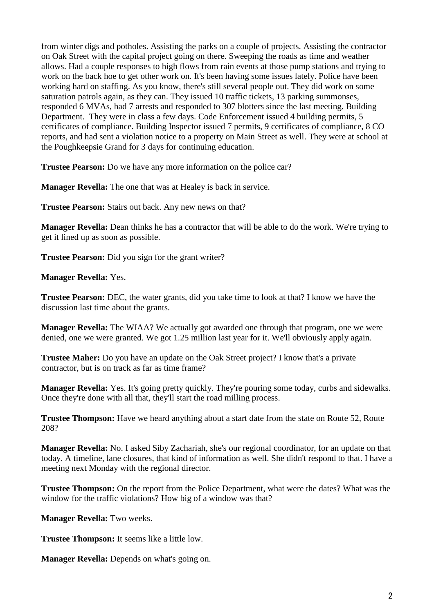from winter digs and potholes. Assisting the parks on a couple of projects. Assisting the contractor on Oak Street with the capital project going on there. Sweeping the roads as time and weather allows. Had a couple responses to high flows from rain events at those pump stations and trying to work on the back hoe to get other work on. It's been having some issues lately. Police have been working hard on staffing. As you know, there's still several people out. They did work on some saturation patrols again, as they can. They issued 10 traffic tickets, 13 parking summonses, responded 6 MVAs, had 7 arrests and responded to 307 blotters since the last meeting. Building Department. They were in class a few days. Code Enforcement issued 4 building permits, 5 certificates of compliance. Building Inspector issued 7 permits, 9 certificates of compliance, 8 CO reports, and had sent a violation notice to a property on Main Street as well. They were at school at the Poughkeepsie Grand for 3 days for continuing education.

**Trustee Pearson:** Do we have any more information on the police car?

**Manager Revella:** The one that was at Healey is back in service.

**Trustee Pearson:** Stairs out back. Any new news on that?

**Manager Revella:** Dean thinks he has a contractor that will be able to do the work. We're trying to get it lined up as soon as possible.

**Trustee Pearson:** Did you sign for the grant writer?

**Manager Revella:** Yes.

**Trustee Pearson:** DEC, the water grants, did you take time to look at that? I know we have the discussion last time about the grants.

**Manager Revella:** The WIAA? We actually got awarded one through that program, one we were denied, one we were granted. We got 1.25 million last year for it. We'll obviously apply again.

**Trustee Maher:** Do you have an update on the Oak Street project? I know that's a private contractor, but is on track as far as time frame?

**Manager Revella:** Yes. It's going pretty quickly. They're pouring some today, curbs and sidewalks. Once they're done with all that, they'll start the road milling process.

**Trustee Thompson:** Have we heard anything about a start date from the state on Route 52, Route 208?

**Manager Revella:** No. I asked Siby Zachariah, she's our regional coordinator, for an update on that today. A timeline, lane closures, that kind of information as well. She didn't respond to that. I have a meeting next Monday with the regional director.

**Trustee Thompson:** On the report from the Police Department, what were the dates? What was the window for the traffic violations? How big of a window was that?

**Manager Revella:** Two weeks.

**Trustee Thompson:** It seems like a little low.

**Manager Revella:** Depends on what's going on.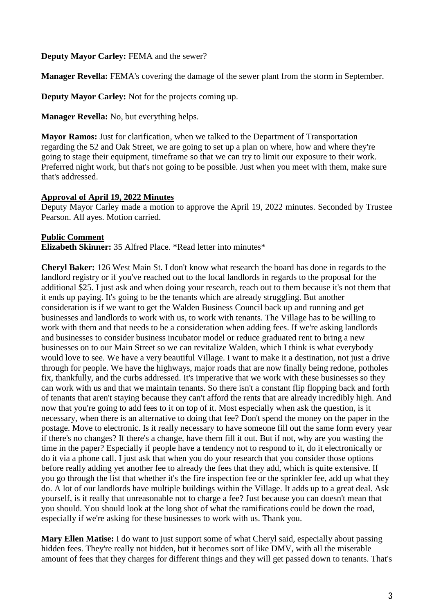## **Deputy Mayor Carley:** FEMA and the sewer?

**Manager Revella:** FEMA's covering the damage of the sewer plant from the storm in September.

**Deputy Mayor Carley:** Not for the projects coming up.

**Manager Revella:** No, but everything helps.

**Mayor Ramos:** Just for clarification, when we talked to the Department of Transportation regarding the 52 and Oak Street, we are going to set up a plan on where, how and where they're going to stage their equipment, timeframe so that we can try to limit our exposure to their work. Preferred night work, but that's not going to be possible. Just when you meet with them, make sure that's addressed.

#### **Approval of April 19, 2022 Minutes**

Deputy Mayor Carley made a motion to approve the April 19, 2022 minutes. Seconded by Trustee Pearson. All ayes. Motion carried.

#### **Public Comment**

**Elizabeth Skinner:** 35 Alfred Place. \*Read letter into minutes\*

**Cheryl Baker:** 126 West Main St. I don't know what research the board has done in regards to the landlord registry or if you've reached out to the local landlords in regards to the proposal for the additional \$25. I just ask and when doing your research, reach out to them because it's not them that it ends up paying. It's going to be the tenants which are already struggling. But another consideration is if we want to get the Walden Business Council back up and running and get businesses and landlords to work with us, to work with tenants. The Village has to be willing to work with them and that needs to be a consideration when adding fees. If we're asking landlords and businesses to consider business incubator model or reduce graduated rent to bring a new businesses on to our Main Street so we can revitalize Walden, which I think is what everybody would love to see. We have a very beautiful Village. I want to make it a destination, not just a drive through for people. We have the highways, major roads that are now finally being redone, potholes fix, thankfully, and the curbs addressed. It's imperative that we work with these businesses so they can work with us and that we maintain tenants. So there isn't a constant flip flopping back and forth of tenants that aren't staying because they can't afford the rents that are already incredibly high. And now that you're going to add fees to it on top of it. Most especially when ask the question, is it necessary, when there is an alternative to doing that fee? Don't spend the money on the paper in the postage. Move to electronic. Is it really necessary to have someone fill out the same form every year if there's no changes? If there's a change, have them fill it out. But if not, why are you wasting the time in the paper? Especially if people have a tendency not to respond to it, do it electronically or do it via a phone call. I just ask that when you do your research that you consider those options before really adding yet another fee to already the fees that they add, which is quite extensive. If you go through the list that whether it's the fire inspection fee or the sprinkler fee, add up what they do. A lot of our landlords have multiple buildings within the Village. It adds up to a great deal. Ask yourself, is it really that unreasonable not to charge a fee? Just because you can doesn't mean that you should. You should look at the long shot of what the ramifications could be down the road, especially if we're asking for these businesses to work with us. Thank you.

**Mary Ellen Matise:** I do want to just support some of what Cheryl said, especially about passing hidden fees. They're really not hidden, but it becomes sort of like DMV, with all the miserable amount of fees that they charges for different things and they will get passed down to tenants. That's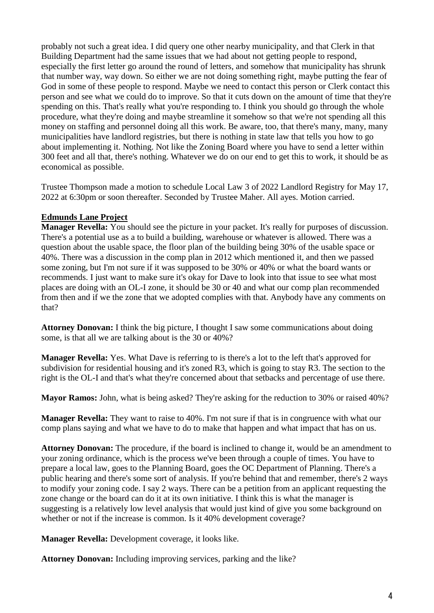probably not such a great idea. I did query one other nearby municipality, and that Clerk in that Building Department had the same issues that we had about not getting people to respond, especially the first letter go around the round of letters, and somehow that municipality has shrunk that number way, way down. So either we are not doing something right, maybe putting the fear of God in some of these people to respond. Maybe we need to contact this person or Clerk contact this person and see what we could do to improve. So that it cuts down on the amount of time that they're spending on this. That's really what you're responding to. I think you should go through the whole procedure, what they're doing and maybe streamline it somehow so that we're not spending all this money on staffing and personnel doing all this work. Be aware, too, that there's many, many, many municipalities have landlord registries, but there is nothing in state law that tells you how to go about implementing it. Nothing. Not like the Zoning Board where you have to send a letter within 300 feet and all that, there's nothing. Whatever we do on our end to get this to work, it should be as economical as possible.

Trustee Thompson made a motion to schedule Local Law 3 of 2022 Landlord Registry for May 17, 2022 at 6:30pm or soon thereafter. Seconded by Trustee Maher. All ayes. Motion carried.

## **Edmunds Lane Project**

**Manager Revella:** You should see the picture in your packet. It's really for purposes of discussion. There's a potential use as a to build a building, warehouse or whatever is allowed. There was a question about the usable space, the floor plan of the building being 30% of the usable space or 40%. There was a discussion in the comp plan in 2012 which mentioned it, and then we passed some zoning, but I'm not sure if it was supposed to be 30% or 40% or what the board wants or recommends. I just want to make sure it's okay for Dave to look into that issue to see what most places are doing with an OL-I zone, it should be 30 or 40 and what our comp plan recommended from then and if we the zone that we adopted complies with that. Anybody have any comments on that?

**Attorney Donovan:** I think the big picture, I thought I saw some communications about doing some, is that all we are talking about is the 30 or 40%?

**Manager Revella:** Yes. What Dave is referring to is there's a lot to the left that's approved for subdivision for residential housing and it's zoned R3, which is going to stay R3. The section to the right is the OL-I and that's what they're concerned about that setbacks and percentage of use there.

**Mayor Ramos:** John, what is being asked? They're asking for the reduction to 30% or raised 40%?

**Manager Revella:** They want to raise to 40%. I'm not sure if that is in congruence with what our comp plans saying and what we have to do to make that happen and what impact that has on us.

**Attorney Donovan:** The procedure, if the board is inclined to change it, would be an amendment to your zoning ordinance, which is the process we've been through a couple of times. You have to prepare a local law, goes to the Planning Board, goes the OC Department of Planning. There's a public hearing and there's some sort of analysis. If you're behind that and remember, there's 2 ways to modify your zoning code. I say 2 ways. There can be a petition from an applicant requesting the zone change or the board can do it at its own initiative. I think this is what the manager is suggesting is a relatively low level analysis that would just kind of give you some background on whether or not if the increase is common. Is it 40% development coverage?

**Manager Revella:** Development coverage, it looks like.

**Attorney Donovan:** Including improving services, parking and the like?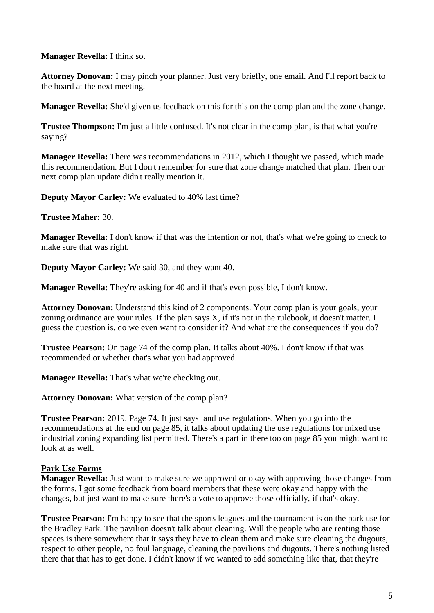**Manager Revella:** I think so.

**Attorney Donovan:** I may pinch your planner. Just very briefly, one email. And I'll report back to the board at the next meeting.

**Manager Revella:** She'd given us feedback on this for this on the comp plan and the zone change.

**Trustee Thompson:** I'm just a little confused. It's not clear in the comp plan, is that what you're saying?

**Manager Revella:** There was recommendations in 2012, which I thought we passed, which made this recommendation. But I don't remember for sure that zone change matched that plan. Then our next comp plan update didn't really mention it.

**Deputy Mayor Carley:** We evaluated to 40% last time?

**Trustee Maher:** 30.

**Manager Revella:** I don't know if that was the intention or not, that's what we're going to check to make sure that was right.

**Deputy Mayor Carley:** We said 30, and they want 40.

**Manager Revella:** They're asking for 40 and if that's even possible, I don't know.

**Attorney Donovan:** Understand this kind of 2 components. Your comp plan is your goals, your zoning ordinance are your rules. If the plan says X, if it's not in the rulebook, it doesn't matter. I guess the question is, do we even want to consider it? And what are the consequences if you do?

**Trustee Pearson:** On page 74 of the comp plan. It talks about 40%. I don't know if that was recommended or whether that's what you had approved.

**Manager Revella:** That's what we're checking out.

**Attorney Donovan:** What version of the comp plan?

**Trustee Pearson:** 2019. Page 74. It just says land use regulations. When you go into the recommendations at the end on page 85, it talks about updating the use regulations for mixed use industrial zoning expanding list permitted. There's a part in there too on page 85 you might want to look at as well.

## **Park Use Forms**

**Manager Revella:** Just want to make sure we approved or okay with approving those changes from the forms. I got some feedback from board members that these were okay and happy with the changes, but just want to make sure there's a vote to approve those officially, if that's okay.

**Trustee Pearson:** I'm happy to see that the sports leagues and the tournament is on the park use for the Bradley Park. The pavilion doesn't talk about cleaning. Will the people who are renting those spaces is there somewhere that it says they have to clean them and make sure cleaning the dugouts, respect to other people, no foul language, cleaning the pavilions and dugouts. There's nothing listed there that that has to get done. I didn't know if we wanted to add something like that, that they're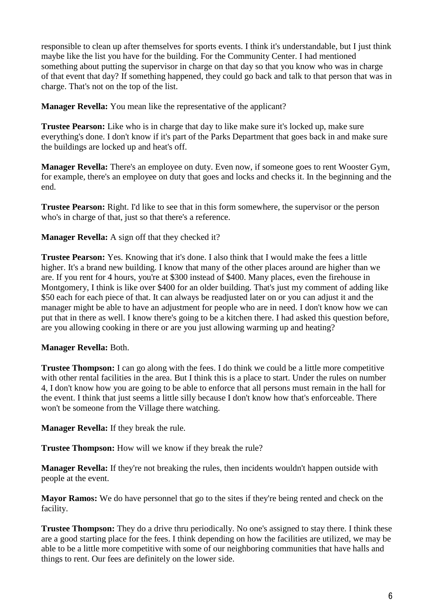responsible to clean up after themselves for sports events. I think it's understandable, but I just think maybe like the list you have for the building. For the Community Center. I had mentioned something about putting the supervisor in charge on that day so that you know who was in charge of that event that day? If something happened, they could go back and talk to that person that was in charge. That's not on the top of the list.

**Manager Revella:** You mean like the representative of the applicant?

**Trustee Pearson:** Like who is in charge that day to like make sure it's locked up, make sure everything's done. I don't know if it's part of the Parks Department that goes back in and make sure the buildings are locked up and heat's off.

**Manager Revella:** There's an employee on duty. Even now, if someone goes to rent Wooster Gym, for example, there's an employee on duty that goes and locks and checks it. In the beginning and the end.

**Trustee Pearson:** Right. I'd like to see that in this form somewhere, the supervisor or the person who's in charge of that, just so that there's a reference.

**Manager Revella:** A sign off that they checked it?

**Trustee Pearson:** Yes. Knowing that it's done. I also think that I would make the fees a little higher. It's a brand new building. I know that many of the other places around are higher than we are. If you rent for 4 hours, you're at \$300 instead of \$400. Many places, even the firehouse in Montgomery, I think is like over \$400 for an older building. That's just my comment of adding like \$50 each for each piece of that. It can always be readjusted later on or you can adjust it and the manager might be able to have an adjustment for people who are in need. I don't know how we can put that in there as well. I know there's going to be a kitchen there. I had asked this question before, are you allowing cooking in there or are you just allowing warming up and heating?

## **Manager Revella:** Both.

**Trustee Thompson:** I can go along with the fees. I do think we could be a little more competitive with other rental facilities in the area. But I think this is a place to start. Under the rules on number 4, I don't know how you are going to be able to enforce that all persons must remain in the hall for the event. I think that just seems a little silly because I don't know how that's enforceable. There won't be someone from the Village there watching.

**Manager Revella:** If they break the rule.

**Trustee Thompson:** How will we know if they break the rule?

**Manager Revella:** If they're not breaking the rules, then incidents wouldn't happen outside with people at the event.

**Mayor Ramos:** We do have personnel that go to the sites if they're being rented and check on the facility.

**Trustee Thompson:** They do a drive thru periodically. No one's assigned to stay there. I think these are a good starting place for the fees. I think depending on how the facilities are utilized, we may be able to be a little more competitive with some of our neighboring communities that have halls and things to rent. Our fees are definitely on the lower side.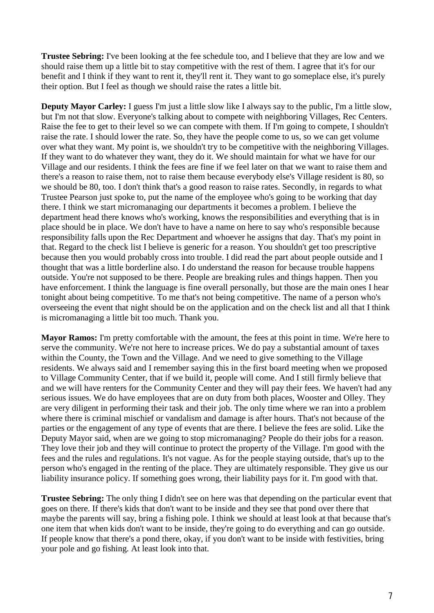**Trustee Sebring:** I've been looking at the fee schedule too, and I believe that they are low and we should raise them up a little bit to stay competitive with the rest of them. I agree that it's for our benefit and I think if they want to rent it, they'll rent it. They want to go someplace else, it's purely their option. But I feel as though we should raise the rates a little bit.

**Deputy Mayor Carley:** I guess I'm just a little slow like I always say to the public, I'm a little slow, but I'm not that slow. Everyone's talking about to compete with neighboring Villages, Rec Centers. Raise the fee to get to their level so we can compete with them. If I'm going to compete, I shouldn't raise the rate. I should lower the rate. So, they have the people come to us, so we can get volume over what they want. My point is, we shouldn't try to be competitive with the neighboring Villages. If they want to do whatever they want, they do it. We should maintain for what we have for our Village and our residents. I think the fees are fine if we feel later on that we want to raise them and there's a reason to raise them, not to raise them because everybody else's Village resident is 80, so we should be 80, too. I don't think that's a good reason to raise rates. Secondly, in regards to what Trustee Pearson just spoke to, put the name of the employee who's going to be working that day there. I think we start micromanaging our departments it becomes a problem. I believe the department head there knows who's working, knows the responsibilities and everything that is in place should be in place. We don't have to have a name on here to say who's responsible because responsibility falls upon the Rec Department and whoever he assigns that day. That's my point in that. Regard to the check list I believe is generic for a reason. You shouldn't get too prescriptive because then you would probably cross into trouble. I did read the part about people outside and I thought that was a little borderline also. I do understand the reason for because trouble happens outside. You're not supposed to be there. People are breaking rules and things happen. Then you have enforcement. I think the language is fine overall personally, but those are the main ones I hear tonight about being competitive. To me that's not being competitive. The name of a person who's overseeing the event that night should be on the application and on the check list and all that I think is micromanaging a little bit too much. Thank you.

**Mayor Ramos:** I'm pretty comfortable with the amount, the fees at this point in time. We're here to serve the community. We're not here to increase prices. We do pay a substantial amount of taxes within the County, the Town and the Village. And we need to give something to the Village residents. We always said and I remember saying this in the first board meeting when we proposed to Village Community Center, that if we build it, people will come. And I still firmly believe that and we will have renters for the Community Center and they will pay their fees. We haven't had any serious issues. We do have employees that are on duty from both places, Wooster and Olley. They are very diligent in performing their task and their job. The only time where we ran into a problem where there is criminal mischief or vandalism and damage is after hours. That's not because of the parties or the engagement of any type of events that are there. I believe the fees are solid. Like the Deputy Mayor said, when are we going to stop micromanaging? People do their jobs for a reason. They love their job and they will continue to protect the property of the Village. I'm good with the fees and the rules and regulations. It's not vague. As for the people staying outside, that's up to the person who's engaged in the renting of the place. They are ultimately responsible. They give us our liability insurance policy. If something goes wrong, their liability pays for it. I'm good with that.

**Trustee Sebring:** The only thing I didn't see on here was that depending on the particular event that goes on there. If there's kids that don't want to be inside and they see that pond over there that maybe the parents will say, bring a fishing pole. I think we should at least look at that because that's one item that when kids don't want to be inside, they're going to do everything and can go outside. If people know that there's a pond there, okay, if you don't want to be inside with festivities, bring your pole and go fishing. At least look into that.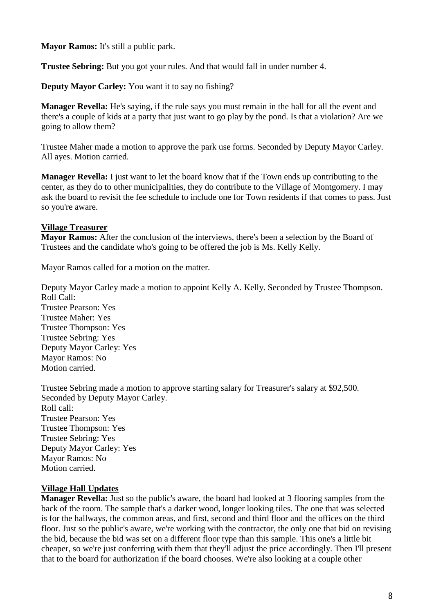**Mayor Ramos:** It's still a public park.

**Trustee Sebring:** But you got your rules. And that would fall in under number 4.

**Deputy Mayor Carley:** You want it to say no fishing?

**Manager Revella:** He's saying, if the rule says you must remain in the hall for all the event and there's a couple of kids at a party that just want to go play by the pond. Is that a violation? Are we going to allow them?

Trustee Maher made a motion to approve the park use forms. Seconded by Deputy Mayor Carley. All ayes. Motion carried.

**Manager Revella:** I just want to let the board know that if the Town ends up contributing to the center, as they do to other municipalities, they do contribute to the Village of Montgomery. I may ask the board to revisit the fee schedule to include one for Town residents if that comes to pass. Just so you're aware.

# **Village Treasurer**

**Mayor Ramos:** After the conclusion of the interviews, there's been a selection by the Board of Trustees and the candidate who's going to be offered the job is Ms. Kelly Kelly.

Mayor Ramos called for a motion on the matter.

Deputy Mayor Carley made a motion to appoint Kelly A. Kelly. Seconded by Trustee Thompson. Roll Call:

Trustee Pearson: Yes Trustee Maher: Yes Trustee Thompson: Yes Trustee Sebring: Yes Deputy Mayor Carley: Yes Mayor Ramos: No Motion carried.

Trustee Sebring made a motion to approve starting salary for Treasurer's salary at \$92,500. Seconded by Deputy Mayor Carley. Roll call: Trustee Pearson: Yes Trustee Thompson: Yes Trustee Sebring: Yes Deputy Mayor Carley: Yes Mayor Ramos: No Motion carried.

## **Village Hall Updates**

**Manager Revella:** Just so the public's aware, the board had looked at 3 flooring samples from the back of the room. The sample that's a darker wood, longer looking tiles. The one that was selected is for the hallways, the common areas, and first, second and third floor and the offices on the third floor. Just so the public's aware, we're working with the contractor, the only one that bid on revising the bid, because the bid was set on a different floor type than this sample. This one's a little bit cheaper, so we're just conferring with them that they'll adjust the price accordingly. Then I'll present that to the board for authorization if the board chooses. We're also looking at a couple other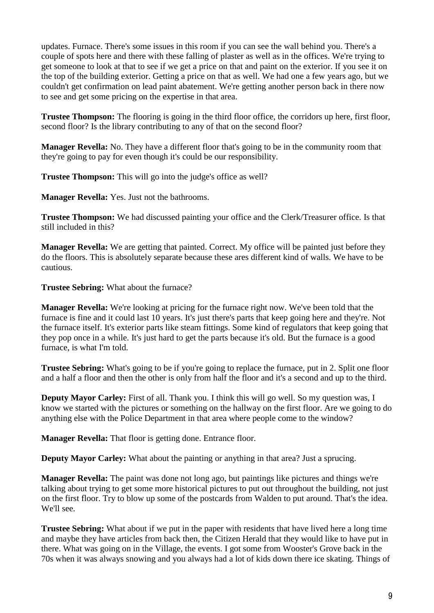updates. Furnace. There's some issues in this room if you can see the wall behind you. There's a couple of spots here and there with these falling of plaster as well as in the offices. We're trying to get someone to look at that to see if we get a price on that and paint on the exterior. If you see it on the top of the building exterior. Getting a price on that as well. We had one a few years ago, but we couldn't get confirmation on lead paint abatement. We're getting another person back in there now to see and get some pricing on the expertise in that area.

**Trustee Thompson:** The flooring is going in the third floor office, the corridors up here, first floor, second floor? Is the library contributing to any of that on the second floor?

**Manager Revella:** No. They have a different floor that's going to be in the community room that they're going to pay for even though it's could be our responsibility.

**Trustee Thompson:** This will go into the judge's office as well?

**Manager Revella:** Yes. Just not the bathrooms.

**Trustee Thompson:** We had discussed painting your office and the Clerk/Treasurer office. Is that still included in this?

**Manager Revella:** We are getting that painted. Correct. My office will be painted just before they do the floors. This is absolutely separate because these ares different kind of walls. We have to be cautious.

**Trustee Sebring:** What about the furnace?

**Manager Revella:** We're looking at pricing for the furnace right now. We've been told that the furnace is fine and it could last 10 years. It's just there's parts that keep going here and they're. Not the furnace itself. It's exterior parts like steam fittings. Some kind of regulators that keep going that they pop once in a while. It's just hard to get the parts because it's old. But the furnace is a good furnace, is what I'm told.

**Trustee Sebring:** What's going to be if you're going to replace the furnace, put in 2. Split one floor and a half a floor and then the other is only from half the floor and it's a second and up to the third.

**Deputy Mayor Carley:** First of all. Thank you. I think this will go well. So my question was, I know we started with the pictures or something on the hallway on the first floor. Are we going to do anything else with the Police Department in that area where people come to the window?

**Manager Revella:** That floor is getting done. Entrance floor.

**Deputy Mayor Carley:** What about the painting or anything in that area? Just a sprucing.

**Manager Revella:** The paint was done not long ago, but paintings like pictures and things we're talking about trying to get some more historical pictures to put out throughout the building, not just on the first floor. Try to blow up some of the postcards from Walden to put around. That's the idea. We'll see.

**Trustee Sebring:** What about if we put in the paper with residents that have lived here a long time and maybe they have articles from back then, the Citizen Herald that they would like to have put in there. What was going on in the Village, the events. I got some from Wooster's Grove back in the 70s when it was always snowing and you always had a lot of kids down there ice skating. Things of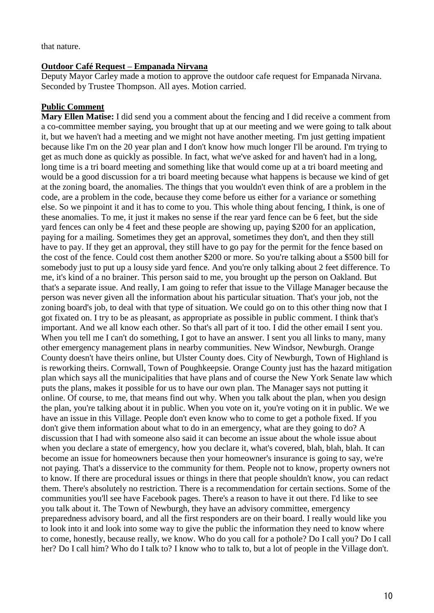that nature.

#### **Outdoor Café Request – Empanada Nirvana**

Deputy Mayor Carley made a motion to approve the outdoor cafe request for Empanada Nirvana. Seconded by Trustee Thompson. All ayes. Motion carried.

## **Public Comment**

**Mary Ellen Matise:** I did send you a comment about the fencing and I did receive a comment from a co-committee member saying, you brought that up at our meeting and we were going to talk about it, but we haven't had a meeting and we might not have another meeting. I'm just getting impatient because like I'm on the 20 year plan and I don't know how much longer I'll be around. I'm trying to get as much done as quickly as possible. In fact, what we've asked for and haven't had in a long, long time is a tri board meeting and something like that would come up at a tri board meeting and would be a good discussion for a tri board meeting because what happens is because we kind of get at the zoning board, the anomalies. The things that you wouldn't even think of are a problem in the code, are a problem in the code, because they come before us either for a variance or something else. So we pinpoint it and it has to come to you. This whole thing about fencing, I think, is one of these anomalies. To me, it just it makes no sense if the rear yard fence can be 6 feet, but the side yard fences can only be 4 feet and these people are showing up, paying \$200 for an application, paying for a mailing. Sometimes they get an approval, sometimes they don't, and then they still have to pay. If they get an approval, they still have to go pay for the permit for the fence based on the cost of the fence. Could cost them another \$200 or more. So you're talking about a \$500 bill for somebody just to put up a lousy side yard fence. And you're only talking about 2 feet difference. To me, it's kind of a no brainer. This person said to me, you brought up the person on Oakland. But that's a separate issue. And really, I am going to refer that issue to the Village Manager because the person was never given all the information about his particular situation. That's your job, not the zoning board's job, to deal with that type of situation. We could go on to this other thing now that I got fixated on. I try to be as pleasant, as appropriate as possible in public comment. I think that's important. And we all know each other. So that's all part of it too. I did the other email I sent you. When you tell me I can't do something, I got to have an answer. I sent you all links to many, many other emergency management plans in nearby communities. New Windsor, Newburgh. Orange County doesn't have theirs online, but Ulster County does. City of Newburgh, Town of Highland is is reworking theirs. Cornwall, Town of Poughkeepsie. Orange County just has the hazard mitigation plan which says all the municipalities that have plans and of course the New York Senate law which puts the plans, makes it possible for us to have our own plan. The Manager says not putting it online. Of course, to me, that means find out why. When you talk about the plan, when you design the plan, you're talking about it in public. When you vote on it, you're voting on it in public. We we have an issue in this Village. People don't even know who to come to get a pothole fixed. If you don't give them information about what to do in an emergency, what are they going to do? A discussion that I had with someone also said it can become an issue about the whole issue about when you declare a state of emergency, how you declare it, what's covered, blah, blah, blah. It can become an issue for homeowners because then your homeowner's insurance is going to say, we're not paying. That's a disservice to the community for them. People not to know, property owners not to know. If there are procedural issues or things in there that people shouldn't know, you can redact them. There's absolutely no restriction. There is a recommendation for certain sections. Some of the communities you'll see have Facebook pages. There's a reason to have it out there. I'd like to see you talk about it. The Town of Newburgh, they have an advisory committee, emergency preparedness advisory board, and all the first responders are on their board. I really would like you to look into it and look into some way to give the public the information they need to know where to come, honestly, because really, we know. Who do you call for a pothole? Do I call you? Do I call her? Do I call him? Who do I talk to? I know who to talk to, but a lot of people in the Village don't.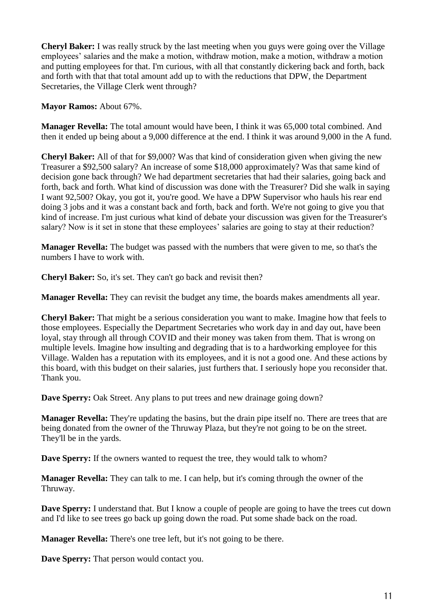**Cheryl Baker:** I was really struck by the last meeting when you guys were going over the Village employees' salaries and the make a motion, withdraw motion, make a motion, withdraw a motion and putting employees for that. I'm curious, with all that constantly dickering back and forth, back and forth with that that total amount add up to with the reductions that DPW, the Department Secretaries, the Village Clerk went through?

**Mayor Ramos:** About 67%.

**Manager Revella:** The total amount would have been, I think it was 65,000 total combined. And then it ended up being about a 9,000 difference at the end. I think it was around 9,000 in the A fund.

**Cheryl Baker:** All of that for \$9,000? Was that kind of consideration given when giving the new Treasurer a \$92,500 salary? An increase of some \$18,000 approximately? Was that same kind of decision gone back through? We had department secretaries that had their salaries, going back and forth, back and forth. What kind of discussion was done with the Treasurer? Did she walk in saying I want 92,500? Okay, you got it, you're good. We have a DPW Supervisor who hauls his rear end doing 3 jobs and it was a constant back and forth, back and forth. We're not going to give you that kind of increase. I'm just curious what kind of debate your discussion was given for the Treasurer's salary? Now is it set in stone that these employees' salaries are going to stay at their reduction?

**Manager Revella:** The budget was passed with the numbers that were given to me, so that's the numbers I have to work with.

**Cheryl Baker:** So, it's set. They can't go back and revisit then?

**Manager Revella:** They can revisit the budget any time, the boards makes amendments all year.

**Cheryl Baker:** That might be a serious consideration you want to make. Imagine how that feels to those employees. Especially the Department Secretaries who work day in and day out, have been loyal, stay through all through COVID and their money was taken from them. That is wrong on multiple levels. Imagine how insulting and degrading that is to a hardworking employee for this Village. Walden has a reputation with its employees, and it is not a good one. And these actions by this board, with this budget on their salaries, just furthers that. I seriously hope you reconsider that. Thank you.

**Dave Sperry:** Oak Street. Any plans to put trees and new drainage going down?

**Manager Revella:** They're updating the basins, but the drain pipe itself no. There are trees that are being donated from the owner of the Thruway Plaza, but they're not going to be on the street. They'll be in the yards.

**Dave Sperry:** If the owners wanted to request the tree, they would talk to whom?

**Manager Revella:** They can talk to me. I can help, but it's coming through the owner of the Thruway.

**Dave Sperry:** I understand that. But I know a couple of people are going to have the trees cut down and I'd like to see trees go back up going down the road. Put some shade back on the road.

**Manager Revella:** There's one tree left, but it's not going to be there.

**Dave Sperry:** That person would contact you.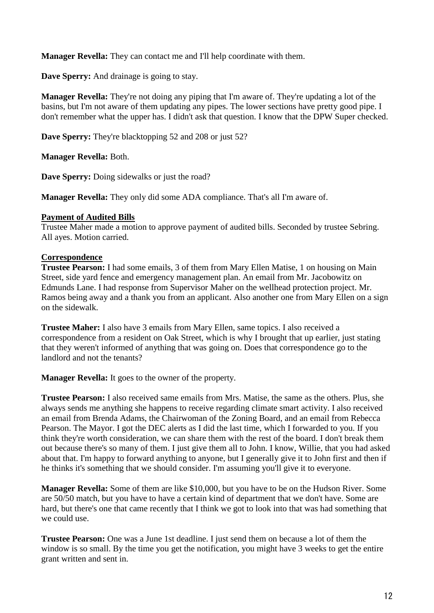**Manager Revella:** They can contact me and I'll help coordinate with them.

**Dave Sperry:** And drainage is going to stay.

**Manager Revella:** They're not doing any piping that I'm aware of. They're updating a lot of the basins, but I'm not aware of them updating any pipes. The lower sections have pretty good pipe. I don't remember what the upper has. I didn't ask that question. I know that the DPW Super checked.

**Dave Sperry:** They're blacktopping 52 and 208 or just 52?

**Manager Revella:** Both.

**Dave Sperry:** Doing sidewalks or just the road?

**Manager Revella:** They only did some ADA compliance. That's all I'm aware of.

#### **Payment of Audited Bills**

Trustee Maher made a motion to approve payment of audited bills. Seconded by trustee Sebring. All ayes. Motion carried.

#### **Correspondence**

**Trustee Pearson:** I had some emails, 3 of them from Mary Ellen Matise, 1 on housing on Main Street, side yard fence and emergency management plan. An email from Mr. Jacobowitz on Edmunds Lane. I had response from Supervisor Maher on the wellhead protection project. Mr. Ramos being away and a thank you from an applicant. Also another one from Mary Ellen on a sign on the sidewalk.

**Trustee Maher:** I also have 3 emails from Mary Ellen, same topics. I also received a correspondence from a resident on Oak Street, which is why I brought that up earlier, just stating that they weren't informed of anything that was going on. Does that correspondence go to the landlord and not the tenants?

**Manager Revella:** It goes to the owner of the property.

**Trustee Pearson:** I also received same emails from Mrs. Matise, the same as the others. Plus, she always sends me anything she happens to receive regarding climate smart activity. I also received an email from Brenda Adams, the Chairwoman of the Zoning Board, and an email from Rebecca Pearson. The Mayor. I got the DEC alerts as I did the last time, which I forwarded to you. If you think they're worth consideration, we can share them with the rest of the board. I don't break them out because there's so many of them. I just give them all to John. I know, Willie, that you had asked about that. I'm happy to forward anything to anyone, but I generally give it to John first and then if he thinks it's something that we should consider. I'm assuming you'll give it to everyone.

**Manager Revella:** Some of them are like \$10,000, but you have to be on the Hudson River. Some are 50/50 match, but you have to have a certain kind of department that we don't have. Some are hard, but there's one that came recently that I think we got to look into that was had something that we could use.

**Trustee Pearson:** One was a June 1st deadline. I just send them on because a lot of them the window is so small. By the time you get the notification, you might have 3 weeks to get the entire grant written and sent in.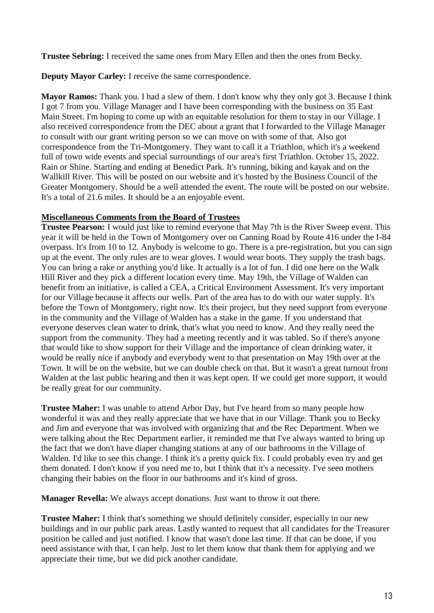**Trustee Sebring:** I received the same ones from Mary Ellen and then the ones from Becky.

**Deputy Mayor Carley:** I receive the same correspondence.

**Mayor Ramos:** Thank you. I had a slew of them. I don't know why they only got 3. Because I think I got 7 from you. Village Manager and I have been corresponding with the business on 35 East Main Street. I'm hoping to come up with an equitable resolution for them to stay in our Village. I also received correspondence from the DEC about a grant that I forwarded to the Village Manager to consult with our grant writing person so we can move on with some of that. Also got correspondence from the Tri-Montgomery. They want to call it a Triathlon, which it's a weekend full of town wide events and special surroundings of our area's first Triathlon. October 15, 2022. Rain or Shine. Starting and ending at Benedict Park. It's running, biking and kayak and on the Wallkill River. This will be posted on our website and it's hosted by the Business Council of the Greater Montgomery. Should be a well attended the event. The route will be posted on our website. It's a total of 21.6 miles. It should be a an enjoyable event.

## **Miscellaneous Comments from the Board of Trustees**

**Trustee Pearson:** I would just like to remind everyone that May 7th is the River Sweep event. This year it will be held in the Town of Montgomery over on Canning Road by Route 416 under the I-84 overpass. It's from 10 to 12. Anybody is welcome to go. There is a pre-registration, but you can sign up at the event. The only rules are to wear gloves. I would wear boots. They supply the trash bags. You can bring a rake or anything you'd like. It actually is a lot of fun. I did one here on the Walk Hill River and they pick a different location every time. May 19th, the Village of Walden can benefit from an initiative, is called a CEA, a Critical Environment Assessment. It's very important for our Village because it affects our wells. Part of the area has to do with our water supply. It's before the Town of Montgomery, right now. It's their project, but they need support from everyone in the community and the Village of Walden has a stake in the game. If you understand that everyone deserves clean water to drink, that's what you need to know. And they really need the support from the community. They had a meeting recently and it was tabled. So if there's anyone that would like to show support for their Village and the importance of clean drinking water, it would be really nice if anybody and everybody went to that presentation on May 19th over at the Town. It will be on the website, but we can double check on that. But it wasn't a great turnout from Walden at the last public hearing and then it was kept open. If we could get more support, it would be really great for our community.

**Trustee Maher:** I was unable to attend Arbor Day, but I've heard from so many people how wonderful it was and they really appreciate that we have that in our Village. Thank you to Becky and Jim and everyone that was involved with organizing that and the Rec Department. When we were talking about the Rec Department earlier, it reminded me that I've always wanted to bring up the fact that we don't have diaper changing stations at any of our bathrooms in the Village of Walden. I'd like to see this change. I think it's a pretty quick fix. I could probably even try and get them donated. I don't know if you need me to, but I think that it's a necessity. I've seen mothers changing their babies on the floor in our bathrooms and it's kind of gross.

**Manager Revella:** We always accept donations. Just want to throw it out there.

**Trustee Maher:** I think that's something we should definitely consider, especially in our new buildings and in our public park areas. Lastly wanted to request that all candidates for the Treasurer position be called and just notified. I know that wasn't done last time. If that can be done, if you need assistance with that, I can help. Just to let them know that thank them for applying and we appreciate their time, but we did pick another candidate.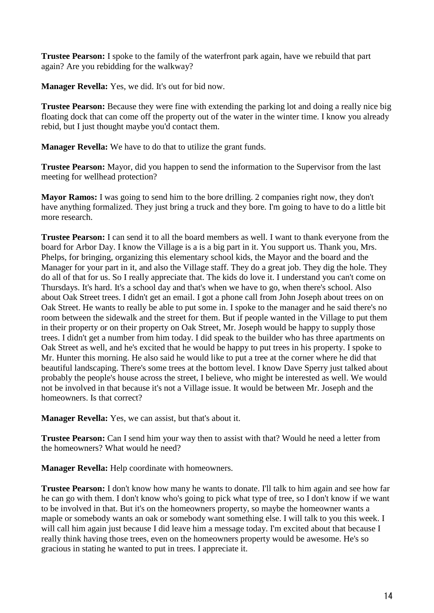**Trustee Pearson:** I spoke to the family of the waterfront park again, have we rebuild that part again? Are you rebidding for the walkway?

**Manager Revella:** Yes, we did. It's out for bid now.

**Trustee Pearson:** Because they were fine with extending the parking lot and doing a really nice big floating dock that can come off the property out of the water in the winter time. I know you already rebid, but I just thought maybe you'd contact them.

**Manager Revella:** We have to do that to utilize the grant funds.

**Trustee Pearson:** Mayor, did you happen to send the information to the Supervisor from the last meeting for wellhead protection?

**Mayor Ramos:** I was going to send him to the bore drilling. 2 companies right now, they don't have anything formalized. They just bring a truck and they bore. I'm going to have to do a little bit more research.

**Trustee Pearson:** I can send it to all the board members as well. I want to thank everyone from the board for Arbor Day. I know the Village is a is a big part in it. You support us. Thank you, Mrs. Phelps, for bringing, organizing this elementary school kids, the Mayor and the board and the Manager for your part in it, and also the Village staff. They do a great job. They dig the hole. They do all of that for us. So I really appreciate that. The kids do love it. I understand you can't come on Thursdays. It's hard. It's a school day and that's when we have to go, when there's school. Also about Oak Street trees. I didn't get an email. I got a phone call from John Joseph about trees on on Oak Street. He wants to really be able to put some in. I spoke to the manager and he said there's no room between the sidewalk and the street for them. But if people wanted in the Village to put them in their property or on their property on Oak Street, Mr. Joseph would be happy to supply those trees. I didn't get a number from him today. I did speak to the builder who has three apartments on Oak Street as well, and he's excited that he would be happy to put trees in his property. I spoke to Mr. Hunter this morning. He also said he would like to put a tree at the corner where he did that beautiful landscaping. There's some trees at the bottom level. I know Dave Sperry just talked about probably the people's house across the street, I believe, who might be interested as well. We would not be involved in that because it's not a Village issue. It would be between Mr. Joseph and the homeowners. Is that correct?

**Manager Revella:** Yes, we can assist, but that's about it.

**Trustee Pearson:** Can I send him your way then to assist with that? Would he need a letter from the homeowners? What would he need?

**Manager Revella:** Help coordinate with homeowners.

**Trustee Pearson:** I don't know how many he wants to donate. I'll talk to him again and see how far he can go with them. I don't know who's going to pick what type of tree, so I don't know if we want to be involved in that. But it's on the homeowners property, so maybe the homeowner wants a maple or somebody wants an oak or somebody want something else. I will talk to you this week. I will call him again just because I did leave him a message today. I'm excited about that because I really think having those trees, even on the homeowners property would be awesome. He's so gracious in stating he wanted to put in trees. I appreciate it.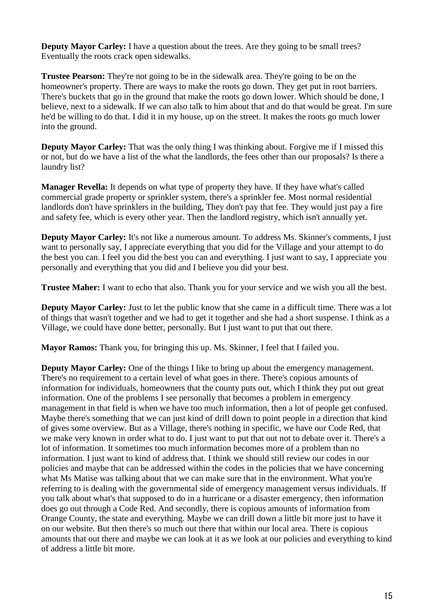**Deputy Mayor Carley:** I have a question about the trees. Are they going to be small trees? Eventually the roots crack open sidewalks.

**Trustee Pearson:** They're not going to be in the sidewalk area. They're going to be on the homeowner's property. There are ways to make the roots go down. They get put in root barriers. There's buckets that go in the ground that make the roots go down lower. Which should be done, I believe, next to a sidewalk. If we can also talk to him about that and do that would be great. I'm sure he'd be willing to do that. I did it in my house, up on the street. It makes the roots go much lower into the ground.

**Deputy Mayor Carley:** That was the only thing I was thinking about. Forgive me if I missed this or not, but do we have a list of the what the landlords, the fees other than our proposals? Is there a laundry list?

**Manager Revella:** It depends on what type of property they have. If they have what's called commercial grade property or sprinkler system, there's a sprinkler fee. Most normal residential landlords don't have sprinklers in the building, They don't pay that fee. They would just pay a fire and safety fee, which is every other year. Then the landlord registry, which isn't annually yet.

**Deputy Mayor Carley:** It's not like a numerous amount. To address Ms. Skinner's comments, I just want to personally say, I appreciate everything that you did for the Village and your attempt to do the best you can. I feel you did the best you can and everything. I just want to say, I appreciate you personally and everything that you did and I believe you did your best.

**Trustee Maher:** I want to echo that also. Thank you for your service and we wish you all the best.

**Deputy Mayor Carley:** Just to let the public know that she came in a difficult time. There was a lot of things that wasn't together and we had to get it together and she had a short suspense. I think as a Village, we could have done better, personally. But I just want to put that out there.

**Mayor Ramos:** Thank you, for bringing this up. Ms. Skinner, I feel that I failed you.

**Deputy Mayor Carley:** One of the things I like to bring up about the emergency management. There's no requirement to a certain level of what goes in there. There's copious amounts of information for individuals, homeowners that the county puts out, which I think they put out great information. One of the problems I see personally that becomes a problem in emergency management in that field is when we have too much information, then a lot of people get confused. Maybe there's something that we can just kind of drill down to point people in a direction that kind of gives some overview. But as a Village, there's nothing in specific, we have our Code Red, that we make very known in order what to do. I just want to put that out not to debate over it. There's a lot of information. It sometimes too much information becomes more of a problem than no information. I just want to kind of address that. I think we should still review our codes in our policies and maybe that can be addressed within the codes in the policies that we have concerning what Ms Matise was talking about that we can make sure that in the environment. What you're referring to is dealing with the governmental side of emergency management versus individuals. If you talk about what's that supposed to do in a hurricane or a disaster emergency, then information does go out through a Code Red. And secondly, there is copious amounts of information from Orange County, the state and everything. Maybe we can drill down a little bit more just to have it on our website. But then there's so much out there that within our local area. There is copious amounts that out there and maybe we can look at it as we look at our policies and everything to kind of address a little bit more.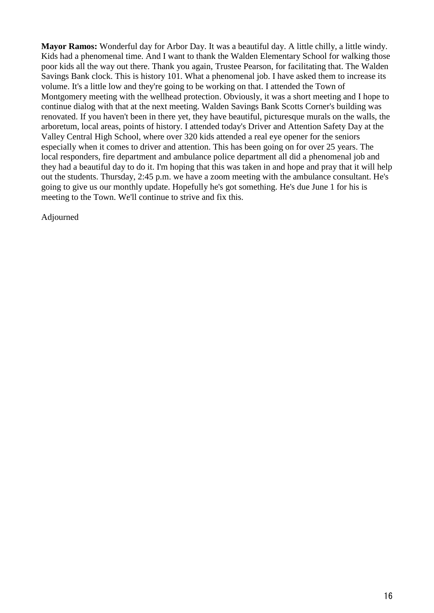**Mayor Ramos:** Wonderful day for Arbor Day. It was a beautiful day. A little chilly, a little windy. Kids had a phenomenal time. And I want to thank the Walden Elementary School for walking those poor kids all the way out there. Thank you again, Trustee Pearson, for facilitating that. The Walden Savings Bank clock. This is history 101. What a phenomenal job. I have asked them to increase its volume. It's a little low and they're going to be working on that. I attended the Town of Montgomery meeting with the wellhead protection. Obviously, it was a short meeting and I hope to continue dialog with that at the next meeting. Walden Savings Bank Scotts Corner's building was renovated. If you haven't been in there yet, they have beautiful, picturesque murals on the walls, the arboretum, local areas, points of history. I attended today's Driver and Attention Safety Day at the Valley Central High School, where over 320 kids attended a real eye opener for the seniors especially when it comes to driver and attention. This has been going on for over 25 years. The local responders, fire department and ambulance police department all did a phenomenal job and they had a beautiful day to do it. I'm hoping that this was taken in and hope and pray that it will help out the students. Thursday, 2:45 p.m. we have a zoom meeting with the ambulance consultant. He's going to give us our monthly update. Hopefully he's got something. He's due June 1 for his is meeting to the Town. We'll continue to strive and fix this.

Adjourned